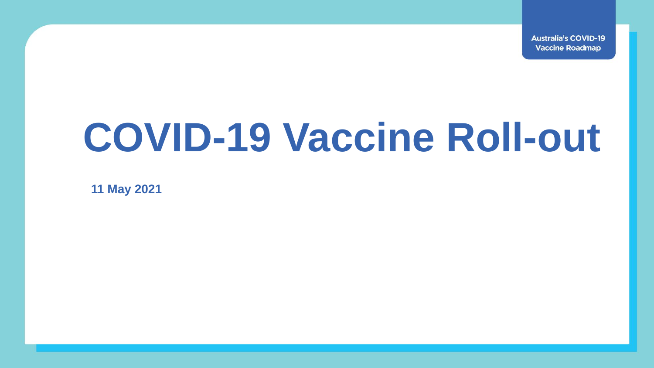**Australia's COVID-19 Vaccine Roadmap** 

## **COVID-19 Vaccine Roll-out**

**11 May 2021**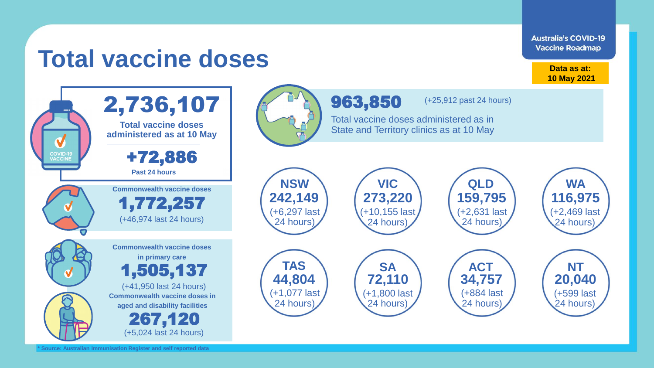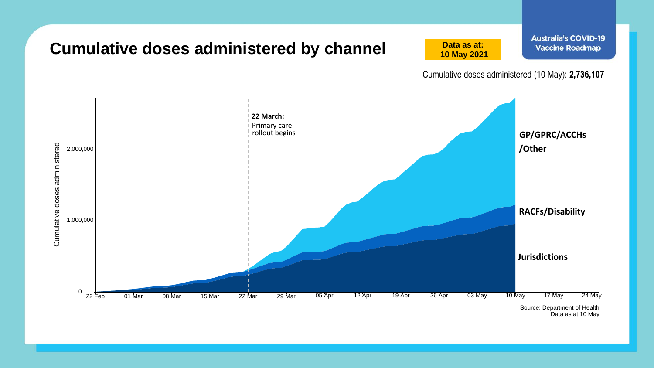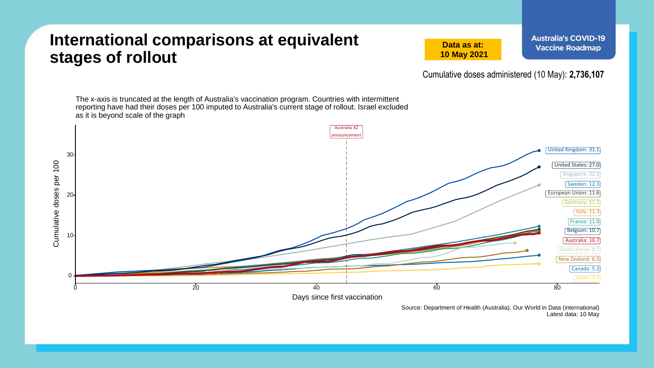## **International comparisons at equivalent stages of rollout**

**Data as at: 10 May 2021**

Cumulative doses administered (10 May): **2,736,107**

The x-axis is truncated at the length of Australia's vaccination program. Countries with intermittent reporting have had their doses per 100 imputed to Australia's current stage of rollout. Israel excluded as it is beyond scale of the graph Australia AZ announcement United Kingdom: 31.1 30 Cumulative doses per 100 Cumulative doses per 100 United States: 27.0 Singapore: 22.5 Sweden: 12.3 European Union: 11.6  $20 -$ Germany: 11.5 Italy: 11.3 France: 11.0 Belgium: 10.7 10 Australia: 10.7 South Korea: 8.2 New Zealand: 6.3 Canada: 5.2 0 Japan: 3.0  $\frac{1}{20}$  ,  $\frac{20}{10}$  ,  $\frac{40}{10}$  ,  $\frac{60}{10}$  ,  $\frac{60}{10}$  ,  $\frac{80}{10}$ Days since first vaccination

> Source: Department of Health (Australia), Our World in Data (international) Latest data: 10 May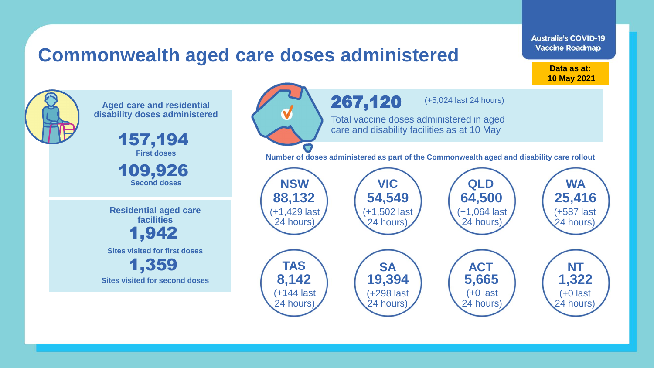## **Commonwealth aged care doses administered**

**Data as at: Data as at: 18 Apr 2021 10 May 2021**